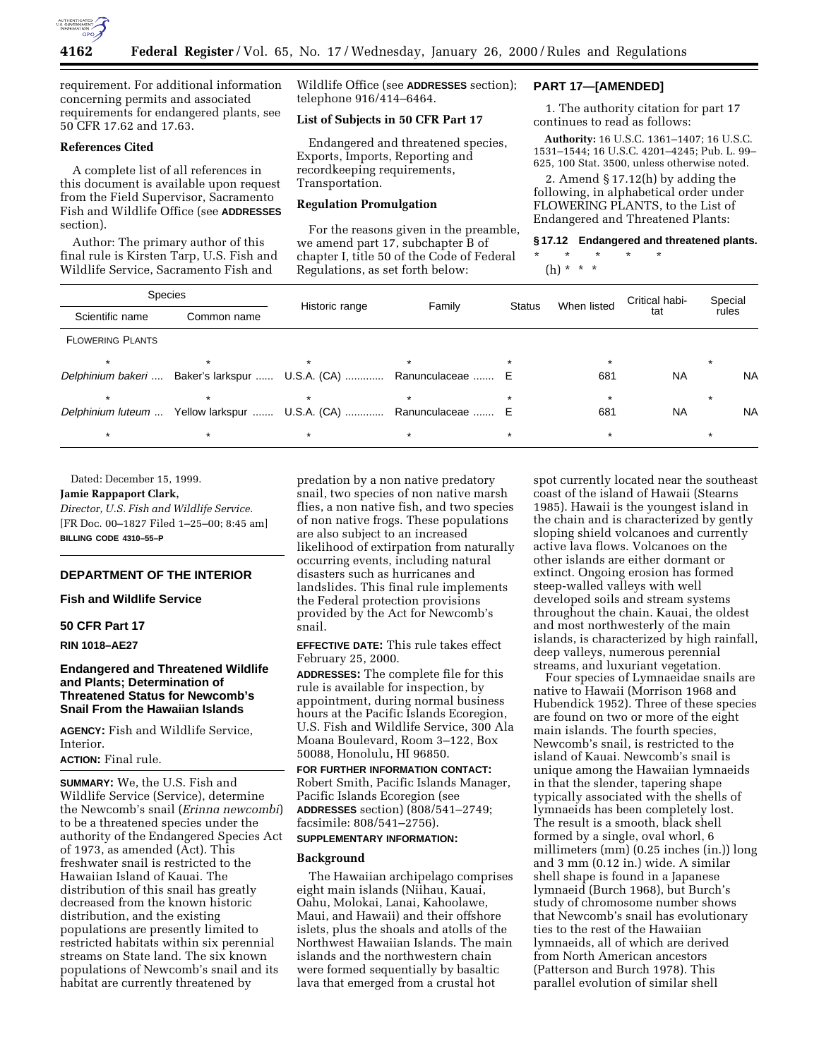

requirement. For additional information concerning permits and associated requirements for endangered plants, see 50 CFR 17.62 and 17.63.

### **References Cited**

A complete list of all references in this document is available upon request from the Field Supervisor, Sacramento Fish and Wildlife Office (see **ADDRESSES** section).

Author: The primary author of this final rule is Kirsten Tarp, U.S. Fish and Wildlife Service, Sacramento Fish and

Wildlife Office (see **ADDRESSES** section); telephone 916/414–6464.

### **List of Subjects in 50 CFR Part 17**

Endangered and threatened species, Exports, Imports, Reporting and recordkeeping requirements, Transportation.

# **Regulation Promulgation**

For the reasons given in the preamble, we amend part 17, subchapter B of chapter I, title 50 of the Code of Federal Regulations, as set forth below:

# **PART 17—[AMENDED]**

1. The authority citation for part 17 continues to read as follows:

**Authority:** 16 U.S.C. 1361–1407; 16 U.S.C. 1531–1544; 16 U.S.C. 4201–4245; Pub. L. 99– 625, 100 Stat. 3500, unless otherwise noted.

2. Amend § 17.12(h) by adding the following, in alphabetical order under FLOWERING PLANTS, to the List of Endangered and Threatened Plants:

# **§ 17.12 Endangered and threatened plants.**

\* \* \* \* \* (h) \* \* \*

| <b>Species</b><br>Scientific name | Common name | Historic range                                 | Family           | <b>Status</b> | When listed | Critical habi-<br>tat | Special<br>rules |  |
|-----------------------------------|-------------|------------------------------------------------|------------------|---------------|-------------|-----------------------|------------------|--|
|                                   |             |                                                |                  |               |             |                       |                  |  |
| <b>FLOWERING PLANTS</b>           |             |                                                |                  |               |             |                       |                  |  |
|                                   |             |                                                |                  |               |             |                       |                  |  |
| Delphinium bakeri                 |             | Baker's larkspur  U.S.A. (CA)                  | Ranunculaceae  E |               | 681         | <b>NA</b>             | <b>NA</b>        |  |
| $\star$                           |             |                                                |                  |               |             |                       |                  |  |
| Delphinium luteum                 |             | Yellow larkspur  U.S.A. (CA)  Ranunculaceae  E |                  |               | 681         | <b>NA</b>             | <b>NA</b>        |  |
|                                   |             |                                                |                  |               |             |                       |                  |  |
|                                   |             |                                                |                  |               |             |                       |                  |  |

Dated: December 15, 1999.

#### **Jamie Rappaport Clark,**

*Director, U.S. Fish and Wildlife Service.* [FR Doc. 00–1827 Filed 1–25–00; 8:45 am] **BILLING CODE 4310–55–P**

# **DEPARTMENT OF THE INTERIOR**

#### **Fish and Wildlife Service**

# **50 CFR Part 17**

**RIN 1018–AE27**

### **Endangered and Threatened Wildlife and Plants; Determination of Threatened Status for Newcomb's Snail From the Hawaiian Islands**

**AGENCY:** Fish and Wildlife Service, Interior.

#### **ACTION:** Final rule.

**SUMMARY:** We, the U.S. Fish and Wildlife Service (Service), determine the Newcomb's snail (*Erinna newcombi*) to be a threatened species under the authority of the Endangered Species Act of 1973, as amended (Act). This freshwater snail is restricted to the Hawaiian Island of Kauai. The distribution of this snail has greatly decreased from the known historic distribution, and the existing populations are presently limited to restricted habitats within six perennial streams on State land. The six known populations of Newcomb's snail and its habitat are currently threatened by

predation by a non native predatory snail, two species of non native marsh flies, a non native fish, and two species of non native frogs. These populations are also subject to an increased likelihood of extirpation from naturally occurring events, including natural disasters such as hurricanes and landslides. This final rule implements the Federal protection provisions provided by the Act for Newcomb's snail.

**EFFECTIVE DATE:** This rule takes effect February 25, 2000.

**ADDRESSES:** The complete file for this rule is available for inspection, by appointment, during normal business hours at the Pacific Islands Ecoregion, U.S. Fish and Wildlife Service, 300 Ala Moana Boulevard, Room 3–122, Box 50088, Honolulu, HI 96850.

**FOR FURTHER INFORMATION CONTACT:** Robert Smith, Pacific Islands Manager, Pacific Islands Ecoregion (see **ADDRESSES** section) (808/541–2749; facsimile: 808/541–2756).

# **SUPPLEMENTARY INFORMATION:**

# **Background**

The Hawaiian archipelago comprises eight main islands (Niihau, Kauai, Oahu, Molokai, Lanai, Kahoolawe, Maui, and Hawaii) and their offshore islets, plus the shoals and atolls of the Northwest Hawaiian Islands. The main islands and the northwestern chain were formed sequentially by basaltic lava that emerged from a crustal hot

spot currently located near the southeast coast of the island of Hawaii (Stearns 1985). Hawaii is the youngest island in the chain and is characterized by gently sloping shield volcanoes and currently active lava flows. Volcanoes on the other islands are either dormant or extinct. Ongoing erosion has formed steep-walled valleys with well developed soils and stream systems throughout the chain. Kauai, the oldest and most northwesterly of the main islands, is characterized by high rainfall, deep valleys, numerous perennial streams, and luxuriant vegetation.

Four species of Lymnaeidae snails are native to Hawaii (Morrison 1968 and Hubendick 1952). Three of these species are found on two or more of the eight main islands. The fourth species, Newcomb's snail, is restricted to the island of Kauai. Newcomb's snail is unique among the Hawaiian lymnaeids in that the slender, tapering shape typically associated with the shells of lymnaeids has been completely lost. The result is a smooth, black shell formed by a single, oval whorl, 6 millimeters (mm) (0.25 inches (in.)) long and 3 mm (0.12 in.) wide. A similar shell shape is found in a Japanese lymnaeid (Burch 1968), but Burch's study of chromosome number shows that Newcomb's snail has evolutionary ties to the rest of the Hawaiian lymnaeids, all of which are derived from North American ancestors (Patterson and Burch 1978). This parallel evolution of similar shell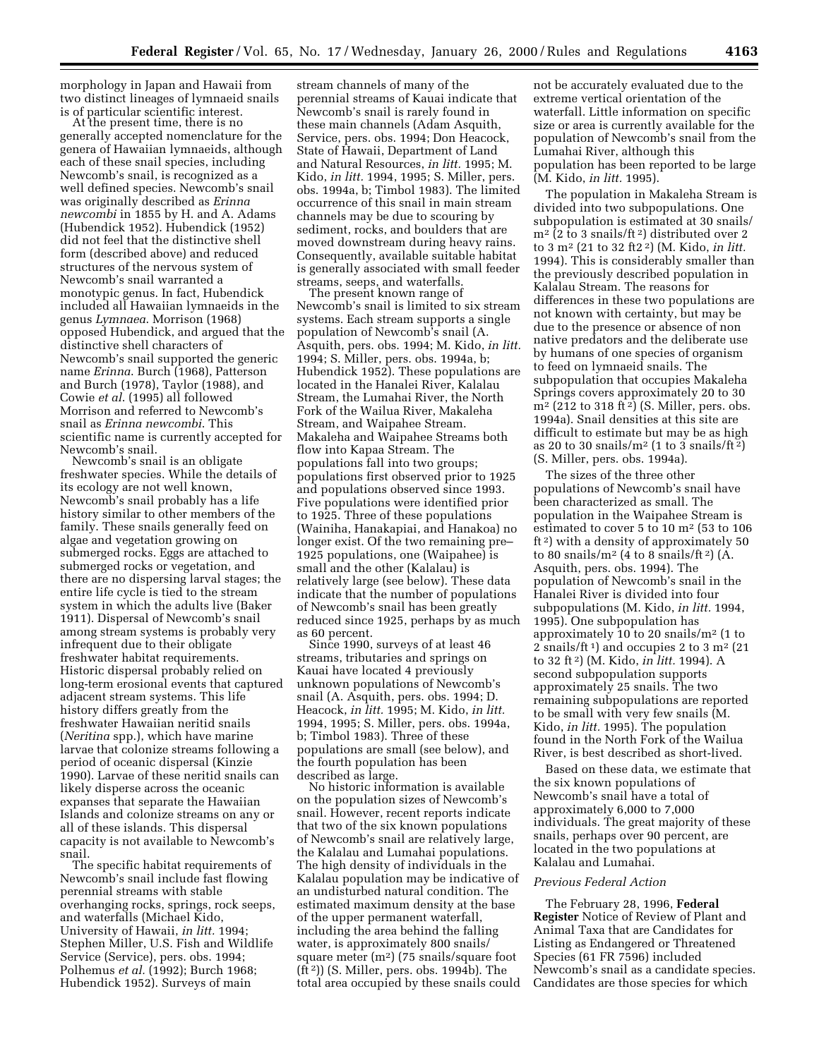morphology in Japan and Hawaii from two distinct lineages of lymnaeid snails is of particular scientific interest. At the present time, there is no

generally accepted nomenclature for the genera of Hawaiian lymnaeids, although each of these snail species, including Newcomb's snail, is recognized as a well defined species. Newcomb's snail was originally described as *Erinna newcombi* in 1855 by H. and A. Adams (Hubendick 1952). Hubendick (1952) did not feel that the distinctive shell form (described above) and reduced structures of the nervous system of Newcomb's snail warranted a monotypic genus. In fact, Hubendick included all Hawaiian lymnaeids in the genus *Lymnaea*. Morrison (1968) opposed Hubendick, and argued that the distinctive shell characters of Newcomb's snail supported the generic name *Erinna*. Burch (1968), Patterson and Burch (1978), Taylor (1988), and Cowie *et al*. (1995) all followed Morrison and referred to Newcomb's snail as *Erinna newcombi*. This scientific name is currently accepted for Newcomb's snail.

Newcomb's snail is an obligate freshwater species. While the details of its ecology are not well known, Newcomb's snail probably has a life history similar to other members of the family. These snails generally feed on algae and vegetation growing on submerged rocks. Eggs are attached to submerged rocks or vegetation, and there are no dispersing larval stages; the entire life cycle is tied to the stream system in which the adults live (Baker 1911). Dispersal of Newcomb's snail among stream systems is probably very infrequent due to their obligate freshwater habitat requirements. Historic dispersal probably relied on long-term erosional events that captured adjacent stream systems. This life history differs greatly from the freshwater Hawaiian neritid snails (*Neritina* spp.), which have marine larvae that colonize streams following a period of oceanic dispersal (Kinzie 1990). Larvae of these neritid snails can likely disperse across the oceanic expanses that separate the Hawaiian Islands and colonize streams on any or all of these islands. This dispersal capacity is not available to Newcomb's snail.

The specific habitat requirements of Newcomb's snail include fast flowing perennial streams with stable overhanging rocks, springs, rock seeps, and waterfalls (Michael Kido, University of Hawaii, *in litt.* 1994; Stephen Miller, U.S. Fish and Wildlife Service (Service), pers. obs. 1994; Polhemus *et al.* (1992); Burch 1968; Hubendick 1952). Surveys of main

stream channels of many of the perennial streams of Kauai indicate that Newcomb's snail is rarely found in these main channels (Adam Asquith, Service, pers. obs. 1994; Don Heacock, State of Hawaii, Department of Land and Natural Resources, *in litt.* 1995; M. Kido, *in litt.* 1994, 1995; S. Miller, pers. obs. 1994a, b; Timbol 1983). The limited occurrence of this snail in main stream channels may be due to scouring by sediment, rocks, and boulders that are moved downstream during heavy rains. Consequently, available suitable habitat is generally associated with small feeder

streams, seeps, and waterfalls. The present known range of Newcomb's snail is limited to six stream systems. Each stream supports a single population of Newcomb's snail (A. Asquith, pers. obs. 1994; M. Kido, *in litt.* 1994; S. Miller, pers. obs. 1994a, b; Hubendick 1952). These populations are located in the Hanalei River, Kalalau Stream, the Lumahai River, the North Fork of the Wailua River, Makaleha Stream, and Waipahee Stream. Makaleha and Waipahee Streams both flow into Kapaa Stream. The populations fall into two groups; populations first observed prior to 1925 and populations observed since 1993. Five populations were identified prior to 1925. Three of these populations (Wainiha, Hanakapiai, and Hanakoa) no longer exist. Of the two remaining pre– 1925 populations, one (Waipahee) is small and the other (Kalalau) is relatively large (see below). These data indicate that the number of populations of Newcomb's snail has been greatly reduced since 1925, perhaps by as much as 60 percent. Since 1990, surveys of at least 46

streams, tributaries and springs on Kauai have located 4 previously unknown populations of Newcomb's snail (A. Asquith, pers. obs. 1994; D. Heacock, *in litt.* 1995; M. Kido, *in litt.* 1994, 1995; S. Miller, pers. obs. 1994a, b; Timbol 1983). Three of these populations are small (see below), and the fourth population has been described as large. No historic information is available

on the population sizes of Newcomb's snail. However, recent reports indicate that two of the six known populations of Newcomb's snail are relatively large, the Kalalau and Lumahai populations. The high density of individuals in the Kalalau population may be indicative of an undisturbed natural condition. The estimated maximum density at the base of the upper permanent waterfall, including the area behind the falling water, is approximately 800 snails/ square meter (m2) (75 snails/square foot (ft 2)) (S. Miller, pers. obs. 1994b). The total area occupied by these snails could not be accurately evaluated due to the extreme vertical orientation of the waterfall. Little information on specific size or area is currently available for the population of Newcomb's snail from the Lumahai River, although this population has been reported to be large (M. Kido, *in litt.* 1995).

The population in Makaleha Stream is divided into two subpopulations. One subpopulation is estimated at 30 snails/ m2 (2 to 3 snails/ft 2) distributed over 2 to 3 m2 (21 to 32 ft2 2) (M. Kido, *in litt.* 1994). This is considerably smaller than the previously described population in Kalalau Stream. The reasons for differences in these two populations are not known with certainty, but may be due to the presence or absence of non native predators and the deliberate use by humans of one species of organism to feed on lymnaeid snails. The subpopulation that occupies Makaleha Springs covers approximately 20 to 30  $m<sup>2</sup>$  (212 to 318 ft<sup>2</sup>) (S. Miller, pers. obs. 1994a). Snail densities at this site are difficult to estimate but may be as high as 20 to 30 snails/ $m^2$  (1 to 3 snails/ft <sup>2</sup>) (S. Miller, pers. obs. 1994a).

The sizes of the three other populations of Newcomb's snail have been characterized as small. The population in the Waipahee Stream is estimated to cover 5 to 10 m2 (53 to 106 ft 2) with a density of approximately 50 to 80 snails/ $m^2$  (4 to 8 snails/ft <sup>2</sup>) (A. Asquith, pers. obs. 1994). The population of Newcomb's snail in the Hanalei River is divided into four subpopulations (M. Kido, *in litt.* 1994, 1995). One subpopulation has approximately 10 to 20 snails/m2 (1 to 2 snails/ft<sup>1</sup>) and occupies 2 to 3  $m<sup>2</sup>$  (21) to 32 ft 2) (M. Kido, *in litt.* 1994). A second subpopulation supports approximately 25 snails. The two remaining subpopulations are reported to be small with very few snails (M. Kido, *in litt.* 1995). The population found in the North Fork of the Wailua River, is best described as short-lived.

Based on these data, we estimate that the six known populations of Newcomb's snail have a total of approximately 6,000 to 7,000 individuals. The great majority of these snails, perhaps over 90 percent, are located in the two populations at Kalalau and Lumahai.

# *Previous Federal Action*

The February 28, 1996, **Federal Register** Notice of Review of Plant and Animal Taxa that are Candidates for Listing as Endangered or Threatened Species (61 FR 7596) included Newcomb's snail as a candidate species. Candidates are those species for which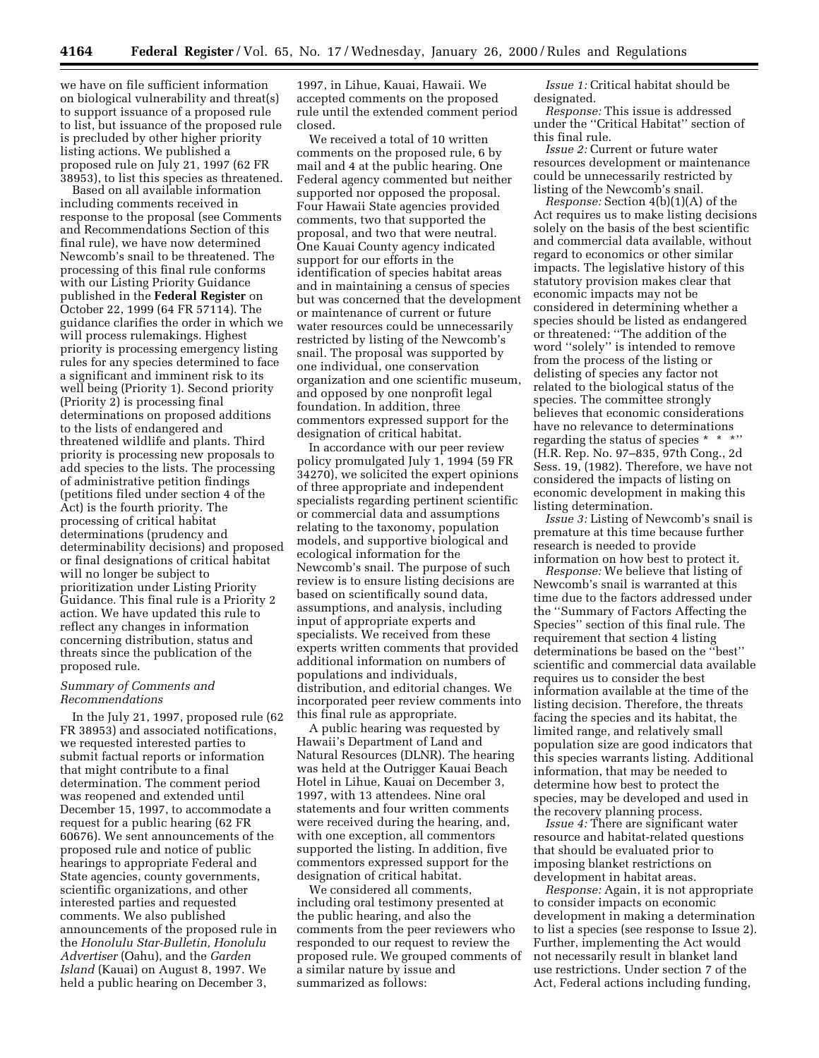we have on file sufficient information on biological vulnerability and threat(s) to support issuance of a proposed rule to list, but issuance of the proposed rule is precluded by other higher priority listing actions. We published a proposed rule on July 21, 1997 (62 FR 38953), to list this species as threatened.

Based on all available information including comments received in response to the proposal (see Comments and Recommendations Section of this final rule), we have now determined Newcomb's snail to be threatened. The processing of this final rule conforms with our Listing Priority Guidance published in the **Federal Register** on October 22, 1999 (64 FR 57114). The guidance clarifies the order in which we will process rulemakings. Highest priority is processing emergency listing rules for any species determined to face a significant and imminent risk to its well being (Priority 1). Second priority (Priority 2) is processing final determinations on proposed additions to the lists of endangered and threatened wildlife and plants. Third priority is processing new proposals to add species to the lists. The processing of administrative petition findings (petitions filed under section 4 of the Act) is the fourth priority. The processing of critical habitat determinations (prudency and determinability decisions) and proposed or final designations of critical habitat will no longer be subject to prioritization under Listing Priority Guidance. This final rule is a Priority 2 action. We have updated this rule to reflect any changes in information concerning distribution, status and threats since the publication of the proposed rule.

#### *Summary of Comments and Recommendations*

In the July 21, 1997, proposed rule (62 FR 38953) and associated notifications, we requested interested parties to submit factual reports or information that might contribute to a final determination. The comment period was reopened and extended until December 15, 1997, to accommodate a request for a public hearing (62 FR 60676). We sent announcements of the proposed rule and notice of public hearings to appropriate Federal and State agencies, county governments, scientific organizations, and other interested parties and requested comments. We also published announcements of the proposed rule in the *Honolulu Star-Bulletin, Honolulu Advertiser* (Oahu), and the *Garden Island* (Kauai) on August 8, 1997. We held a public hearing on December 3,

1997, in Lihue, Kauai, Hawaii. We accepted comments on the proposed rule until the extended comment period closed.

We received a total of 10 written comments on the proposed rule, 6 by mail and 4 at the public hearing. One Federal agency commented but neither supported nor opposed the proposal. Four Hawaii State agencies provided comments, two that supported the proposal, and two that were neutral. One Kauai County agency indicated support for our efforts in the identification of species habitat areas and in maintaining a census of species but was concerned that the development or maintenance of current or future water resources could be unnecessarily restricted by listing of the Newcomb's snail. The proposal was supported by one individual, one conservation organization and one scientific museum, and opposed by one nonprofit legal foundation. In addition, three commentors expressed support for the designation of critical habitat.

In accordance with our peer review policy promulgated July 1, 1994 (59 FR 34270), we solicited the expert opinions of three appropriate and independent specialists regarding pertinent scientific or commercial data and assumptions relating to the taxonomy, population models, and supportive biological and ecological information for the Newcomb's snail. The purpose of such review is to ensure listing decisions are based on scientifically sound data, assumptions, and analysis, including input of appropriate experts and specialists. We received from these experts written comments that provided additional information on numbers of populations and individuals, distribution, and editorial changes. We incorporated peer review comments into this final rule as appropriate.

A public hearing was requested by Hawaii's Department of Land and Natural Resources (DLNR). The hearing was held at the Outrigger Kauai Beach Hotel in Lihue, Kauai on December 3, 1997, with 13 attendees. Nine oral statements and four written comments were received during the hearing, and, with one exception, all commentors supported the listing. In addition, five commentors expressed support for the designation of critical habitat.

We considered all comments, including oral testimony presented at the public hearing, and also the comments from the peer reviewers who responded to our request to review the proposed rule. We grouped comments of a similar nature by issue and summarized as follows:

*Issue 1:* Critical habitat should be designated.

*Response:* This issue is addressed under the ''Critical Habitat'' section of this final rule.

*Issue 2:* Current or future water resources development or maintenance could be unnecessarily restricted by listing of the Newcomb's snail.

*Response:* Section 4(b)(1)(A) of the Act requires us to make listing decisions solely on the basis of the best scientific and commercial data available, without regard to economics or other similar impacts. The legislative history of this statutory provision makes clear that economic impacts may not be considered in determining whether a species should be listed as endangered or threatened: ''The addition of the word ''solely'' is intended to remove from the process of the listing or delisting of species any factor not related to the biological status of the species. The committee strongly believes that economic considerations have no relevance to determinations regarding the status of species \* \* \*'' (H.R. Rep. No. 97–835, 97th Cong., 2d Sess. 19, (1982). Therefore, we have not considered the impacts of listing on economic development in making this listing determination.

*Issue 3:* Listing of Newcomb's snail is premature at this time because further research is needed to provide information on how best to protect it.

*Response:* We believe that listing of Newcomb's snail is warranted at this time due to the factors addressed under the ''Summary of Factors Affecting the Species'' section of this final rule. The requirement that section 4 listing determinations be based on the ''best'' scientific and commercial data available requires us to consider the best information available at the time of the listing decision. Therefore, the threats facing the species and its habitat, the limited range, and relatively small population size are good indicators that this species warrants listing. Additional information, that may be needed to determine how best to protect the species, may be developed and used in the recovery planning process.

*Issue 4:* There are significant water resource and habitat-related questions that should be evaluated prior to imposing blanket restrictions on development in habitat areas.

*Response:* Again, it is not appropriate to consider impacts on economic development in making a determination to list a species (see response to Issue 2). Further, implementing the Act would not necessarily result in blanket land use restrictions. Under section 7 of the Act, Federal actions including funding,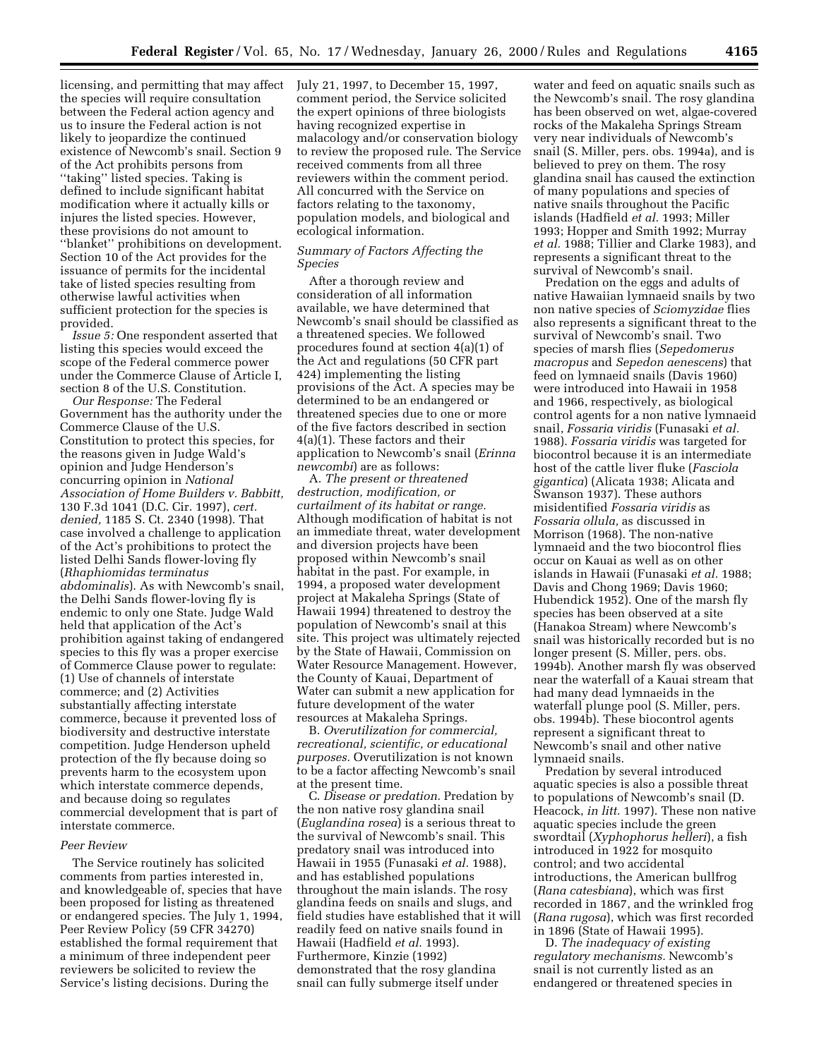licensing, and permitting that may affect the species will require consultation between the Federal action agency and us to insure the Federal action is not likely to jeopardize the continued existence of Newcomb's snail. Section 9 of the Act prohibits persons from ''taking'' listed species. Taking is defined to include significant habitat modification where it actually kills or injures the listed species. However, these provisions do not amount to ''blanket'' prohibitions on development. Section 10 of the Act provides for the issuance of permits for the incidental take of listed species resulting from otherwise lawful activities when sufficient protection for the species is provided.

*Issue 5:* One respondent asserted that listing this species would exceed the scope of the Federal commerce power under the Commerce Clause of Article I, section 8 of the U.S. Constitution.

*Our Response:* The Federal Government has the authority under the Commerce Clause of the U.S. Constitution to protect this species, for the reasons given in Judge Wald's opinion and Judge Henderson's concurring opinion in *National Association of Home Builders v. Babbitt,* 130 F.3d 1041 (D.C. Cir. 1997), *cert. denied,* 1185 S. Ct. 2340 (1998). That case involved a challenge to application of the Act's prohibitions to protect the listed Delhi Sands flower-loving fly (*Rhaphiomidas terminatus abdominalis*). As with Newcomb's snail, the Delhi Sands flower-loving fly is endemic to only one State. Judge Wald held that application of the Act's prohibition against taking of endangered species to this fly was a proper exercise of Commerce Clause power to regulate: (1) Use of channels of interstate commerce; and (2) Activities substantially affecting interstate commerce, because it prevented loss of biodiversity and destructive interstate competition. Judge Henderson upheld protection of the fly because doing so prevents harm to the ecosystem upon which interstate commerce depends, and because doing so regulates commercial development that is part of interstate commerce.

### *Peer Review*

The Service routinely has solicited comments from parties interested in, and knowledgeable of, species that have been proposed for listing as threatened or endangered species. The July 1, 1994, Peer Review Policy (59 CFR 34270) established the formal requirement that a minimum of three independent peer reviewers be solicited to review the Service's listing decisions. During the

July 21, 1997, to December 15, 1997, comment period, the Service solicited the expert opinions of three biologists having recognized expertise in malacology and/or conservation biology to review the proposed rule. The Service received comments from all three reviewers within the comment period. All concurred with the Service on factors relating to the taxonomy, population models, and biological and ecological information.

### *Summary of Factors Affecting the Species*

After a thorough review and consideration of all information available, we have determined that Newcomb's snail should be classified as a threatened species. We followed procedures found at section 4(a)(1) of the Act and regulations (50 CFR part 424) implementing the listing provisions of the Act. A species may be determined to be an endangered or threatened species due to one or more of the five factors described in section 4(a)(1). These factors and their application to Newcomb's snail (*Erinna newcombi*) are as follows:

A. *The present or threatened destruction, modification, or curtailment of its habitat or range.* Although modification of habitat is not an immediate threat, water development and diversion projects have been proposed within Newcomb's snail habitat in the past. For example, in 1994, a proposed water development project at Makaleha Springs (State of Hawaii 1994) threatened to destroy the population of Newcomb's snail at this site. This project was ultimately rejected by the State of Hawaii, Commission on Water Resource Management. However, the County of Kauai, Department of Water can submit a new application for future development of the water resources at Makaleha Springs.

B. *Overutilization for commercial, recreational, scientific, or educational purposes.* Overutilization is not known to be a factor affecting Newcomb's snail at the present time.

C. *Disease or predation.* Predation by the non native rosy glandina snail (*Euglandina rosea*) is a serious threat to the survival of Newcomb's snail. This predatory snail was introduced into Hawaii in 1955 (Funasaki *et al.* 1988), and has established populations throughout the main islands. The rosy glandina feeds on snails and slugs, and field studies have established that it will readily feed on native snails found in Hawaii (Hadfield *et al.* 1993). Furthermore, Kinzie (1992) demonstrated that the rosy glandina snail can fully submerge itself under

water and feed on aquatic snails such as the Newcomb's snail. The rosy glandina has been observed on wet, algae-covered rocks of the Makaleha Springs Stream very near individuals of Newcomb's snail (S. Miller, pers. obs. 1994a), and is believed to prey on them. The rosy glandina snail has caused the extinction of many populations and species of native snails throughout the Pacific islands (Hadfield *et al.* 1993; Miller 1993; Hopper and Smith 1992; Murray *et al.* 1988; Tillier and Clarke 1983), and represents a significant threat to the survival of Newcomb's snail.

Predation on the eggs and adults of native Hawaiian lymnaeid snails by two non native species of *Sciomyzidae* flies also represents a significant threat to the survival of Newcomb's snail. Two species of marsh flies (*Sepedomerus macropus* and *Sepedon aenescens*) that feed on lymnaeid snails (Davis 1960) were introduced into Hawaii in 1958 and 1966, respectively, as biological control agents for a non native lymnaeid snail, *Fossaria viridis* (Funasaki *et al.* 1988). *Fossaria viridis* was targeted for biocontrol because it is an intermediate host of the cattle liver fluke (*Fasciola gigantica*) (Alicata 1938; Alicata and Swanson 1937). These authors misidentified *Fossaria viridis* as *Fossaria ollula,* as discussed in Morrison (1968). The non-native lymnaeid and the two biocontrol flies occur on Kauai as well as on other islands in Hawaii (Funasaki *et al.* 1988; Davis and Chong 1969; Davis 1960; Hubendick 1952). One of the marsh fly species has been observed at a site (Hanakoa Stream) where Newcomb's snail was historically recorded but is no longer present (S. Miller, pers. obs. 1994b). Another marsh fly was observed near the waterfall of a Kauai stream that had many dead lymnaeids in the waterfall plunge pool (S. Miller, pers. obs. 1994b). These biocontrol agents represent a significant threat to Newcomb's snail and other native lymnaeid snails.

Predation by several introduced aquatic species is also a possible threat to populations of Newcomb's snail (D. Heacock, *in litt.* 1997). These non native aquatic species include the green swordtail (*Xyphophorus helleri*), a fish introduced in 1922 for mosquito control; and two accidental introductions, the American bullfrog (*Rana catesbiana*), which was first recorded in 1867, and the wrinkled frog (*Rana rugosa*), which was first recorded in 1896 (State of Hawaii 1995).

D. *The inadequacy of existing regulatory mechanisms.* Newcomb's snail is not currently listed as an endangered or threatened species in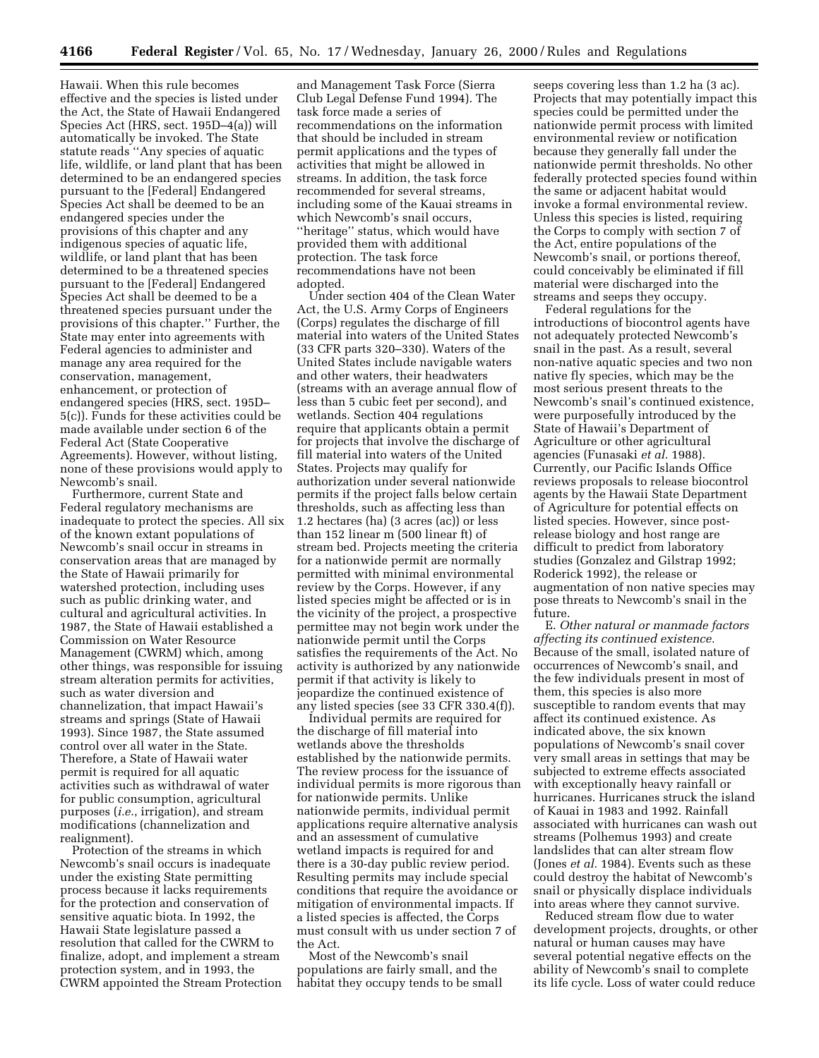Hawaii. When this rule becomes effective and the species is listed under the Act, the State of Hawaii Endangered Species Act (HRS, sect. 195D–4(a)) will automatically be invoked. The State statute reads ''Any species of aquatic life, wildlife, or land plant that has been determined to be an endangered species pursuant to the [Federal] Endangered Species Act shall be deemed to be an endangered species under the provisions of this chapter and any indigenous species of aquatic life, wildlife, or land plant that has been determined to be a threatened species pursuant to the [Federal] Endangered Species Act shall be deemed to be a threatened species pursuant under the provisions of this chapter.'' Further, the State may enter into agreements with Federal agencies to administer and manage any area required for the conservation, management, enhancement, or protection of endangered species (HRS, sect. 195D– 5(c)). Funds for these activities could be made available under section 6 of the Federal Act (State Cooperative Agreements). However, without listing, none of these provisions would apply to Newcomb's snail.

Furthermore, current State and Federal regulatory mechanisms are inadequate to protect the species. All six of the known extant populations of Newcomb's snail occur in streams in conservation areas that are managed by the State of Hawaii primarily for watershed protection, including uses such as public drinking water, and cultural and agricultural activities. In 1987, the State of Hawaii established a Commission on Water Resource Management (CWRM) which, among other things, was responsible for issuing stream alteration permits for activities, such as water diversion and channelization, that impact Hawaii's streams and springs (State of Hawaii 1993). Since 1987, the State assumed control over all water in the State. Therefore, a State of Hawaii water permit is required for all aquatic activities such as withdrawal of water for public consumption, agricultural purposes (*i.e.*, irrigation), and stream modifications (channelization and realignment).

Protection of the streams in which Newcomb's snail occurs is inadequate under the existing State permitting process because it lacks requirements for the protection and conservation of sensitive aquatic biota. In 1992, the Hawaii State legislature passed a resolution that called for the CWRM to finalize, adopt, and implement a stream protection system, and in 1993, the CWRM appointed the Stream Protection

and Management Task Force (Sierra Club Legal Defense Fund 1994). The task force made a series of recommendations on the information that should be included in stream permit applications and the types of activities that might be allowed in streams. In addition, the task force recommended for several streams, including some of the Kauai streams in which Newcomb's snail occurs, ''heritage'' status, which would have provided them with additional protection. The task force recommendations have not been adopted.

Under section 404 of the Clean Water Act, the U.S. Army Corps of Engineers (Corps) regulates the discharge of fill material into waters of the United States (33 CFR parts 320–330). Waters of the United States include navigable waters and other waters, their headwaters (streams with an average annual flow of less than 5 cubic feet per second), and wetlands. Section 404 regulations require that applicants obtain a permit for projects that involve the discharge of fill material into waters of the United States. Projects may qualify for authorization under several nationwide permits if the project falls below certain thresholds, such as affecting less than 1.2 hectares (ha) (3 acres (ac)) or less than 152 linear m (500 linear ft) of stream bed. Projects meeting the criteria for a nationwide permit are normally permitted with minimal environmental review by the Corps. However, if any listed species might be affected or is in the vicinity of the project, a prospective permittee may not begin work under the nationwide permit until the Corps satisfies the requirements of the Act. No activity is authorized by any nationwide permit if that activity is likely to jeopardize the continued existence of any listed species (see 33 CFR 330.4(f)).

Individual permits are required for the discharge of fill material into wetlands above the thresholds established by the nationwide permits. The review process for the issuance of individual permits is more rigorous than for nationwide permits. Unlike nationwide permits, individual permit applications require alternative analysis and an assessment of cumulative wetland impacts is required for and there is a 30-day public review period. Resulting permits may include special conditions that require the avoidance or mitigation of environmental impacts. If a listed species is affected, the Corps must consult with us under section 7 of the Act.

Most of the Newcomb's snail populations are fairly small, and the habitat they occupy tends to be small

seeps covering less than 1.2 ha (3 ac). Projects that may potentially impact this species could be permitted under the nationwide permit process with limited environmental review or notification because they generally fall under the nationwide permit thresholds. No other federally protected species found within the same or adjacent habitat would invoke a formal environmental review. Unless this species is listed, requiring the Corps to comply with section 7 of the Act, entire populations of the Newcomb's snail, or portions thereof, could conceivably be eliminated if fill material were discharged into the streams and seeps they occupy.

Federal regulations for the introductions of biocontrol agents have not adequately protected Newcomb's snail in the past. As a result, several non-native aquatic species and two non native fly species, which may be the most serious present threats to the Newcomb's snail's continued existence, were purposefully introduced by the State of Hawaii's Department of Agriculture or other agricultural agencies (Funasaki *et al.* 1988). Currently, our Pacific Islands Office reviews proposals to release biocontrol agents by the Hawaii State Department of Agriculture for potential effects on listed species. However, since postrelease biology and host range are difficult to predict from laboratory studies (Gonzalez and Gilstrap 1992; Roderick 1992), the release or augmentation of non native species may pose threats to Newcomb's snail in the future.

E. *Other natural or manmade factors affecting its continued existence.* Because of the small, isolated nature of occurrences of Newcomb's snail, and the few individuals present in most of them, this species is also more susceptible to random events that may affect its continued existence. As indicated above, the six known populations of Newcomb's snail cover very small areas in settings that may be subjected to extreme effects associated with exceptionally heavy rainfall or hurricanes. Hurricanes struck the island of Kauai in 1983 and 1992. Rainfall associated with hurricanes can wash out streams (Polhemus 1993) and create landslides that can alter stream flow (Jones *et al.* 1984). Events such as these could destroy the habitat of Newcomb's snail or physically displace individuals into areas where they cannot survive.

Reduced stream flow due to water development projects, droughts, or other natural or human causes may have several potential negative effects on the ability of Newcomb's snail to complete its life cycle. Loss of water could reduce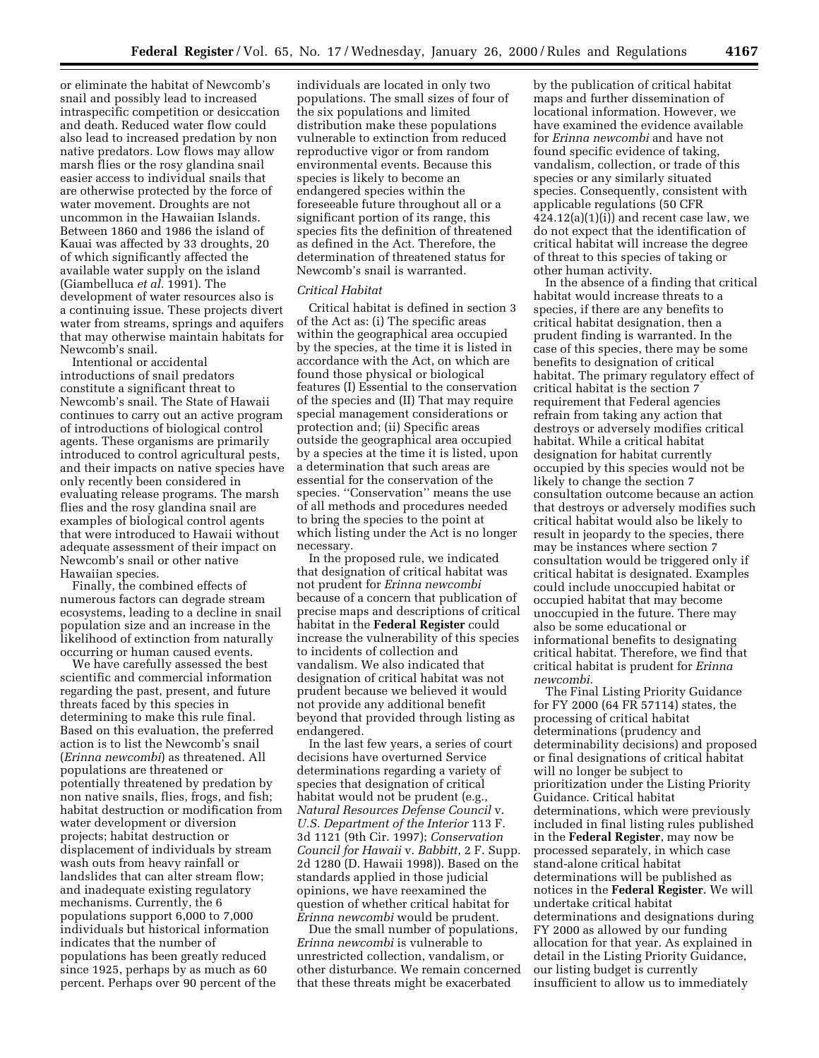or eliminate the habitat of Newcomb's snail and possibly lead to increased intraspecific competition or desiccation and death. Reduced water flow could also lead to increased predation by non native predators. Low flows may allow marsh flies or the rosy glandina snail easier access to individual snails that are otherwise protected by the force of water movement. Droughts are not uncommon in the Hawaiian Islands. Between 1860 and 1986 the island of Kauai was affected by 33 droughts, 20 of which significantly affected the available water supply on the island (Giambelluca *et al.* 1991). The development of water resources also is a continuing issue. These projects divert water from streams, springs and aquifers that may otherwise maintain habitats for Newcomb's snail.

Intentional or accidental introductions of snail predators constitute a significant threat to Newcomb's snail. The State of Hawaii continues to carry out an active program of introductions of biological control agents. These organisms are primarily introduced to control agricultural pests, and their impacts on native species have only recently been considered in evaluating release programs. The marsh flies and the rosy glandina snail are examples of biological control agents that were introduced to Hawaii without adequate assessment of their impact on Newcomb's snail or other native Hawaiian species.

Finally, the combined effects of numerous factors can degrade stream ecosystems, leading to a decline in snail population size and an increase in the likelihood of extinction from naturally occurring or human caused events.

We have carefully assessed the best scientific and commercial information regarding the past, present, and future threats faced by this species in determining to make this rule final. Based on this evaluation, the preferred action is to list the Newcomb's snail (*Erinna newcombi*) as threatened. All populations are threatened or potentially threatened by predation by non native snails, flies, frogs, and fish; habitat destruction or modification from water development or diversion projects; habitat destruction or displacement of individuals by stream wash outs from heavy rainfall or landslides that can alter stream flow; and inadequate existing regulatory mechanisms. Currently, the 6 populations support 6,000 to 7,000 individuals but historical information indicates that the number of populations has been greatly reduced since 1925, perhaps by as much as 60 percent. Perhaps over 90 percent of the

individuals are located in only two populations. The small sizes of four of the six populations and limited distribution make these populations vulnerable to extinction from reduced reproductive vigor or from random environmental events. Because this species is likely to become an endangered species within the foreseeable future throughout all or a significant portion of its range, this species fits the definition of threatened as defined in the Act. Therefore, the determination of threatened status for Newcomb's snail is warranted.

### *Critical Habitat*

Critical habitat is defined in section 3 of the Act as: (i) The specific areas within the geographical area occupied by the species, at the time it is listed in accordance with the Act, on which are found those physical or biological features (I) Essential to the conservation of the species and (II) That may require special management considerations or protection and; (ii) Specific areas outside the geographical area occupied by a species at the time it is listed, upon a determination that such areas are essential for the conservation of the species. ''Conservation'' means the use of all methods and procedures needed to bring the species to the point at which listing under the Act is no longer necessary.

In the proposed rule, we indicated that designation of critical habitat was not prudent for *Erinna newcombi* because of a concern that publication of precise maps and descriptions of critical habitat in the **Federal Register** could increase the vulnerability of this species to incidents of collection and vandalism. We also indicated that designation of critical habitat was not prudent because we believed it would not provide any additional benefit beyond that provided through listing as endangered.

In the last few years, a series of court decisions have overturned Service determinations regarding a variety of species that designation of critical habitat would not be prudent (e.g., *Natural Resources Defense Council* v. *U.S. Department of the Interior* 113 F. 3d 1121 (9th Cir. 1997); *Conservation Council for Hawaii* v. *Babbitt*, 2 F. Supp. 2d 1280 (D. Hawaii 1998)). Based on the standards applied in those judicial opinions, we have reexamined the question of whether critical habitat for *Erinna newcombi* would be prudent.

Due the small number of populations, *Erinna newcombi* is vulnerable to unrestricted collection, vandalism, or other disturbance. We remain concerned that these threats might be exacerbated

by the publication of critical habitat maps and further dissemination of locational information. However, we have examined the evidence available for *Erinna newcombi* and have not found specific evidence of taking, vandalism, collection, or trade of this species or any similarly situated species. Consequently, consistent with applicable regulations (50 CFR  $424.12(a)(1)(i)$  and recent case law, we do not expect that the identification of critical habitat will increase the degree of threat to this species of taking or other human activity.

In the absence of a finding that critical habitat would increase threats to a species, if there are any benefits to critical habitat designation, then a prudent finding is warranted. In the case of this species, there may be some benefits to designation of critical habitat. The primary regulatory effect of critical habitat is the section 7 requirement that Federal agencies refrain from taking any action that destroys or adversely modifies critical habitat. While a critical habitat designation for habitat currently occupied by this species would not be likely to change the section 7 consultation outcome because an action that destroys or adversely modifies such critical habitat would also be likely to result in jeopardy to the species, there may be instances where section 7 consultation would be triggered only if critical habitat is designated. Examples could include unoccupied habitat or occupied habitat that may become unoccupied in the future. There may also be some educational or informational benefits to designating critical habitat. Therefore, we find that critical habitat is prudent for *Erinna newcombi*.

The Final Listing Priority Guidance for FY 2000 (64 FR 57114) states, the processing of critical habitat determinations (prudency and determinability decisions) and proposed or final designations of critical habitat will no longer be subject to prioritization under the Listing Priority Guidance. Critical habitat determinations, which were previously included in final listing rules published in the **Federal Register**, may now be processed separately, in which case stand-alone critical habitat determinations will be published as notices in the **Federal Register**. We will undertake critical habitat determinations and designations during FY 2000 as allowed by our funding allocation for that year. As explained in detail in the Listing Priority Guidance, our listing budget is currently insufficient to allow us to immediately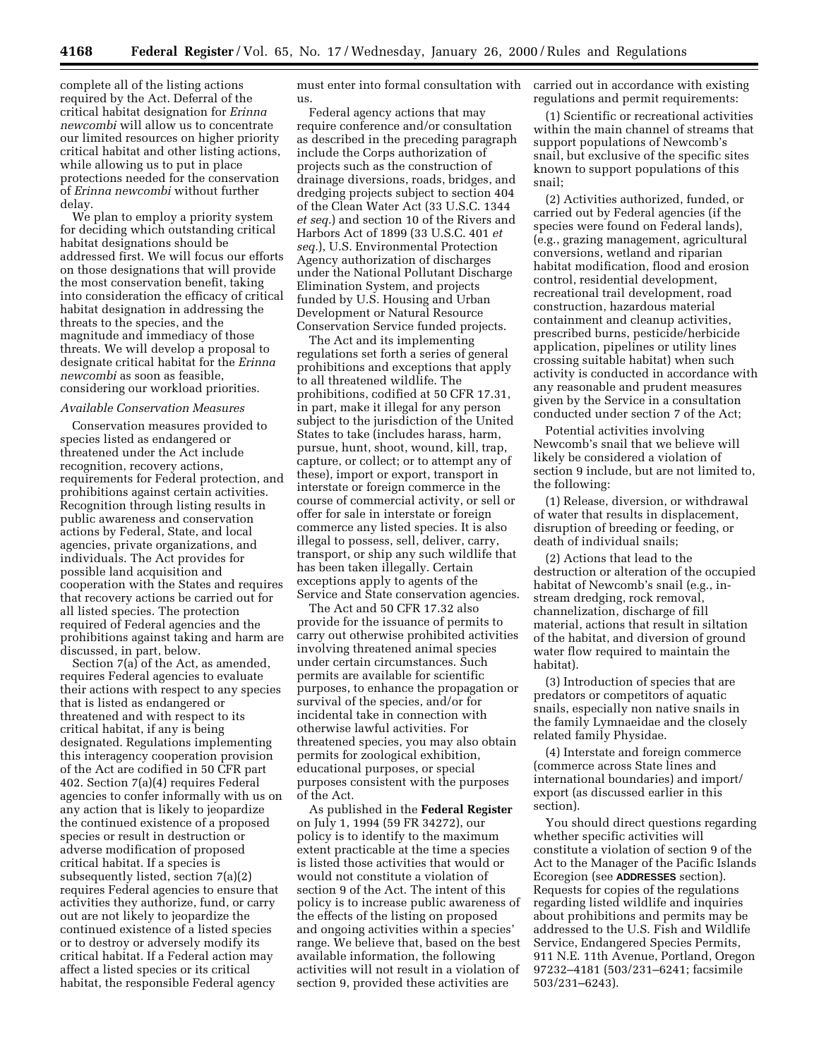complete all of the listing actions required by the Act. Deferral of the critical habitat designation for *Erinna newcombi* will allow us to concentrate our limited resources on higher priority critical habitat and other listing actions, while allowing us to put in place protections needed for the conservation of *Erinna newcombi* without further delay.

We plan to employ a priority system for deciding which outstanding critical habitat designations should be addressed first. We will focus our efforts on those designations that will provide the most conservation benefit, taking into consideration the efficacy of critical habitat designation in addressing the threats to the species, and the magnitude and immediacy of those threats. We will develop a proposal to designate critical habitat for the *Erinna newcombi* as soon as feasible, considering our workload priorities.

#### *Available Conservation Measures*

Conservation measures provided to species listed as endangered or threatened under the Act include recognition, recovery actions, requirements for Federal protection, and prohibitions against certain activities. Recognition through listing results in public awareness and conservation actions by Federal, State, and local agencies, private organizations, and individuals. The Act provides for possible land acquisition and cooperation with the States and requires that recovery actions be carried out for all listed species. The protection required of Federal agencies and the prohibitions against taking and harm are discussed, in part, below.

Section 7(a) of the Act, as amended, requires Federal agencies to evaluate their actions with respect to any species that is listed as endangered or threatened and with respect to its critical habitat, if any is being designated. Regulations implementing this interagency cooperation provision of the Act are codified in 50 CFR part 402. Section 7(a)(4) requires Federal agencies to confer informally with us on any action that is likely to jeopardize the continued existence of a proposed species or result in destruction or adverse modification of proposed critical habitat. If a species is subsequently listed, section 7(a)(2) requires Federal agencies to ensure that activities they authorize, fund, or carry out are not likely to jeopardize the continued existence of a listed species or to destroy or adversely modify its critical habitat. If a Federal action may affect a listed species or its critical habitat, the responsible Federal agency

must enter into formal consultation with us.

Federal agency actions that may require conference and/or consultation as described in the preceding paragraph include the Corps authorization of projects such as the construction of drainage diversions, roads, bridges, and dredging projects subject to section 404 of the Clean Water Act (33 U.S.C. 1344 *et seq.*) and section 10 of the Rivers and Harbors Act of 1899 (33 U.S.C. 401 *et seq.*), U.S. Environmental Protection Agency authorization of discharges under the National Pollutant Discharge Elimination System, and projects funded by U.S. Housing and Urban Development or Natural Resource Conservation Service funded projects.

The Act and its implementing regulations set forth a series of general prohibitions and exceptions that apply to all threatened wildlife. The prohibitions, codified at 50 CFR 17.31, in part, make it illegal for any person subject to the jurisdiction of the United States to take (includes harass, harm, pursue, hunt, shoot, wound, kill, trap, capture, or collect; or to attempt any of these), import or export, transport in interstate or foreign commerce in the course of commercial activity, or sell or offer for sale in interstate or foreign commerce any listed species. It is also illegal to possess, sell, deliver, carry, transport, or ship any such wildlife that has been taken illegally. Certain exceptions apply to agents of the Service and State conservation agencies.

The Act and 50 CFR 17.32 also provide for the issuance of permits to carry out otherwise prohibited activities involving threatened animal species under certain circumstances. Such permits are available for scientific purposes, to enhance the propagation or survival of the species, and/or for incidental take in connection with otherwise lawful activities. For threatened species, you may also obtain permits for zoological exhibition, educational purposes, or special purposes consistent with the purposes of the Act.

As published in the **Federal Register** on July 1, 1994 (59 FR 34272), our policy is to identify to the maximum extent practicable at the time a species is listed those activities that would or would not constitute a violation of section 9 of the Act. The intent of this policy is to increase public awareness of the effects of the listing on proposed and ongoing activities within a species' range. We believe that, based on the best available information, the following activities will not result in a violation of section 9, provided these activities are

carried out in accordance with existing regulations and permit requirements:

(1) Scientific or recreational activities within the main channel of streams that support populations of Newcomb's snail, but exclusive of the specific sites known to support populations of this snail;

(2) Activities authorized, funded, or carried out by Federal agencies (if the species were found on Federal lands), (e.g., grazing management, agricultural conversions, wetland and riparian habitat modification, flood and erosion control, residential development, recreational trail development, road construction, hazardous material containment and cleanup activities, prescribed burns, pesticide/herbicide application, pipelines or utility lines crossing suitable habitat) when such activity is conducted in accordance with any reasonable and prudent measures given by the Service in a consultation conducted under section 7 of the Act;

Potential activities involving Newcomb's snail that we believe will likely be considered a violation of section 9 include, but are not limited to, the following:

(1) Release, diversion, or withdrawal of water that results in displacement, disruption of breeding or feeding, or death of individual snails;

(2) Actions that lead to the destruction or alteration of the occupied habitat of Newcomb's snail (e.g., instream dredging, rock removal, channelization, discharge of fill material, actions that result in siltation of the habitat, and diversion of ground water flow required to maintain the habitat).

(3) Introduction of species that are predators or competitors of aquatic snails, especially non native snails in the family Lymnaeidae and the closely related family Physidae.

(4) Interstate and foreign commerce (commerce across State lines and international boundaries) and import/ export (as discussed earlier in this section).

You should direct questions regarding whether specific activities will constitute a violation of section 9 of the Act to the Manager of the Pacific Islands Ecoregion (see **ADDRESSES** section). Requests for copies of the regulations regarding listed wildlife and inquiries about prohibitions and permits may be addressed to the U.S. Fish and Wildlife Service, Endangered Species Permits, 911 N.E. 11th Avenue, Portland, Oregon 97232–4181 (503/231–6241; facsimile 503/231–6243).